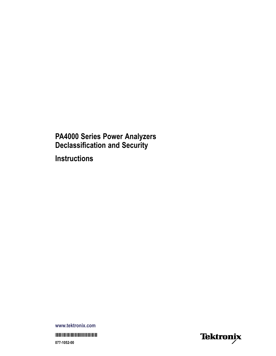# **PA4000 Series Power Analyzers<br>Declassification and Security**

**Instructions** 

www.tektronix.com 077-1052-00

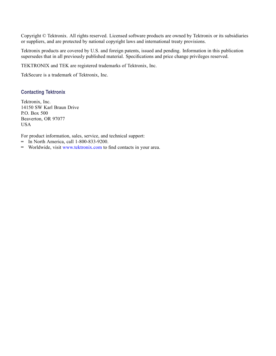Copyright © Tektronix. All rights reserved. Licensed software products are owned by Tektronix or its subsidiaries or suppliers, and are protected by national copyright laws and international treaty provisions.

Tektronix products are covered by U.S. and foreign patents, issued and pending. Information in this publication supersedes that in all previously published material. Specifications and price change privileges reserved.

TEKTRONIX and TEK are registered trademarks of Tektronix, Inc.

TekSecure is a trademark of Tektronix, Inc.

#### **Contacting Tektronix**

Tektronix, Inc. 14150 SW Karl Braun Drive P.O. Box 500 Beaverton, OR 97077 USA

For product information, sales, service, and technical support:

- $\blacksquare$  In North America, call 1-800-833-9200.
- Worldwide, visit [www.tektronix.com](http://www.tektronix.com/contact) to find contacts in your area.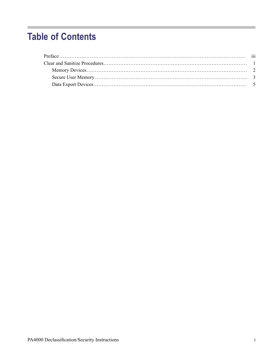# **Table of Contents**

Ī.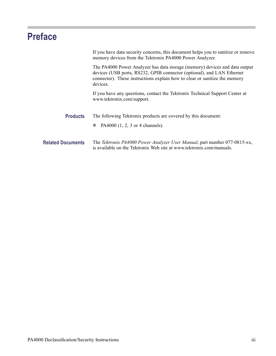# <span id="page-4-0"></span>**Preface**

|                          | If you have data security concerns, this document helps you to sanitize or remove<br>memory devices from the Tektronix PA4000 Power Analyzer.                                                                                                   |
|--------------------------|-------------------------------------------------------------------------------------------------------------------------------------------------------------------------------------------------------------------------------------------------|
|                          | The PA4000 Power Analyzer has data storage (memory) devices and data output<br>devices (USB ports, RS232, GPIB connector (optional), and LAN Ethernet<br>connector). These instructions explain how to clear or sanitize the memory<br>devices. |
|                          | If you have any questions, contact the Tektronix Technical Support Center at<br>www.tektronix.com/support.                                                                                                                                      |
| <b>Products</b>          | The following Tektronix products are covered by this document:<br>PA4000 $(1, 2, 3 \text{ or } 4 \text{ channels}).$                                                                                                                            |
| <b>Related Documents</b> | The Tektronix PA4000 Power Analyzer User Manual, part number 077-0815-xx,<br>is available on the Tektronix Web site at www.tektronix.com/manuals.                                                                                               |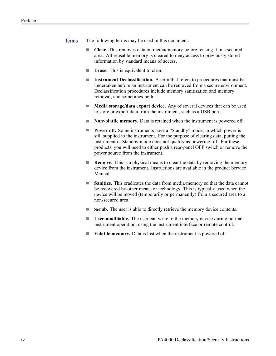- **Terms** The following terms may be used in this document:
	- L. **Clear.** This removes data on media/memory before reusing it in a secured area. All reusable memory is cleared to deny access to previously stored information by standard means of access.
	- **Erase.** This is equivalent to clear.  $\overline{\phantom{a}}$
	- **Instrument Declassification.** A term that refers to procedures that must be  $\overline{\mathcal{L}}$ undertaken before an instrument can be removed from a secure environment. Declassification procedures include memory sanitization and memory removal, and sometimes both.
	- $\mathcal{L}_{\mathcal{A}}$ **Media storage/data export device.** Any of several devices that can be used to store or export data from the instrument, such as a USB port.
	- n. **Nonvolatile memory.** Data is retained when the instrument is powered off.
	- $\Box$ **Power off.** Some instruments have a "Standby" mode, in which power is still supplied to the instrument. For the purpose of clearing data, putting the instrument in Standby mode does not qualify as powering off. For these products, you will need to either push a rear-panel OFF switch or remove the power source from the instrument.
	- $\Box$ **Remove.** This is a physical means to clear the data by removing the memory device from the instrument. Instructions are available in the product Service Manual.
	- $\mathcal{L}_{\text{max}}$ **Sanitize.** This eradicates the data from media/memory so that the data cannot be recovered by other means or technology. This is typically used when the device will be moved (temporarily or permanently) from a secured area to a non-secured area.
	- ш **Scrub.** The user is able to directly retrieve the memory device contents.
	- $\Box$ **User-modifiable.** The user can write to the memory device during normal instrument operation, using the instrument interface or remote control.
	- F. **Volatile memory.** Data is lost when the instrument is powered off.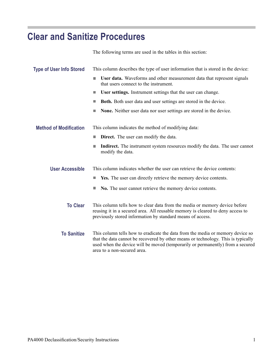## <span id="page-6-0"></span>**Clear and Sanitize Procedures**

|                                 | The following terms are used in the tables in this section:                                                                                                                                                                                                                          |  |  |  |  |  |
|---------------------------------|--------------------------------------------------------------------------------------------------------------------------------------------------------------------------------------------------------------------------------------------------------------------------------------|--|--|--|--|--|
| <b>Type of User Info Stored</b> | This column describes the type of user information that is stored in the device:                                                                                                                                                                                                     |  |  |  |  |  |
|                                 | User data. Waveforms and other measurement data that represent signals<br>П<br>that users connect to the instrument.                                                                                                                                                                 |  |  |  |  |  |
|                                 | User settings. Instrument settings that the user can change.<br>П                                                                                                                                                                                                                    |  |  |  |  |  |
|                                 | Both. Both user data and user settings are stored in the device.<br>ш                                                                                                                                                                                                                |  |  |  |  |  |
|                                 | None. Neither user data nor user settings are stored in the device.<br>$\Box$                                                                                                                                                                                                        |  |  |  |  |  |
| <b>Method of Modification</b>   | This column indicates the method of modifying data:                                                                                                                                                                                                                                  |  |  |  |  |  |
|                                 | <b>Direct.</b> The user can modify the data.<br>П                                                                                                                                                                                                                                    |  |  |  |  |  |
|                                 | <b>Indirect.</b> The instrument system resources modify the data. The user cannot<br>П<br>modify the data.                                                                                                                                                                           |  |  |  |  |  |
| <b>User Accessible</b>          | This column indicates whether the user can retrieve the device contents:                                                                                                                                                                                                             |  |  |  |  |  |
|                                 | Yes. The user can directly retrieve the memory device contents.<br>ш                                                                                                                                                                                                                 |  |  |  |  |  |
|                                 | No. The user cannot retrieve the memory device contents.<br>$\Box$                                                                                                                                                                                                                   |  |  |  |  |  |
| <b>To Clear</b>                 | This column tells how to clear data from the media or memory device before<br>reusing it in a secured area. All reusable memory is cleared to deny access to<br>previously stored information by standard means of access.                                                           |  |  |  |  |  |
| <b>To Sanitize</b>              | This column tells how to eradicate the data from the media or memory device so<br>that the data cannot be recovered by other means or technology. This is typically<br>used when the device will be moved (temporarily or permanently) from a secured<br>area to a non-secured area. |  |  |  |  |  |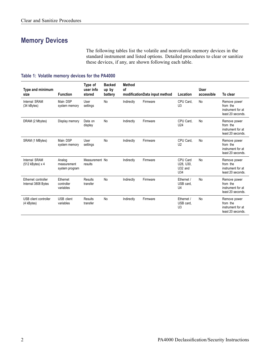### <span id="page-7-0"></span>**Memory Devices**

The following tables list the volatile and nonvolatile memory devices in the standard instrument and listed options. Detailed procedures to clear or sanitize these devices, if any, are shown following each table.

#### **Table 1: Volatile memory devices for the PA4000**

| Type and minimum<br>size                   | <b>Function</b>                         | Type of<br>user info<br>stored | <b>Backed</b><br>up by<br>battery | <b>Method</b><br>οf | modificationData input method | Location                                  | <b>User</b><br>accessible | To clear                                                           |
|--------------------------------------------|-----------------------------------------|--------------------------------|-----------------------------------|---------------------|-------------------------------|-------------------------------------------|---------------------------|--------------------------------------------------------------------|
| Internal SRAM<br>(34 kBytes)               | Main DSP<br>system memory               | User<br>settings               | No                                | Indirectly          | Firmware                      | CPU Card,<br>U <sub>3</sub>               | No                        | Remove power<br>from the<br>instrument for at<br>least 20 seconds. |
| DRAM (2 Mbytes)                            | Display memory                          | Data on<br>display             | No                                | Indirectly          | Firmware                      | CPU Card,<br>U <sub>24</sub>              | No                        | Remove power<br>from the<br>instrument for at<br>least 20 seconds. |
| SRAM (1 MBytes)                            | Main DSP<br>system memory               | User<br>settings               | No                                | Indirectly          | Firmware                      | CPU Card,<br>U <sub>2</sub>               | No                        | Remove power<br>from the<br>instrument for at<br>least 20 seconds. |
| Internal SRAM<br>$(512$ kBytes) x 4        | Analog<br>measurement<br>system program | Measurement No<br>results      |                                   | Indirectly          | Firmware                      | CPU Card<br>U28, U30,<br>U32 and<br>U34   | <b>No</b>                 | Remove power<br>from the<br>instrument for at<br>least 20 seconds. |
| Ethernet controller<br>Internal 3808 Bytes | Ethernet<br>controller<br>variables     | Results<br>transfer            | No                                | Indirectly          | Firmware                      | Ethernet /<br>USB card,<br>U <sub>4</sub> | No                        | Remove power<br>from the<br>instrument for at<br>least 20 seconds. |
| USB client controller<br>(4 kBytes)        | USB client<br>variables                 | Results<br>transfer            | No                                | Indirectly          | Firmware                      | Ethernet /<br>USB card,<br>U <sub>3</sub> | <b>No</b>                 | Remove power<br>from the<br>instrument for at<br>least 20 seconds. |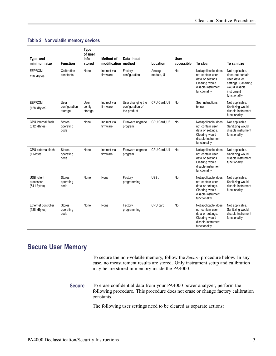#### <span id="page-8-0"></span>**Table 2: Nonvolatile memory devices**

| Type and<br>minimum size                 | <b>Function</b>                    | <b>Type</b><br>of user<br>info<br>stored | Method of<br>modification method | Data input                                           | Location             | <b>User</b><br>accessible | To clear                                                                                                                | To sanitize                                                                                                                  |
|------------------------------------------|------------------------------------|------------------------------------------|----------------------------------|------------------------------------------------------|----------------------|---------------------------|-------------------------------------------------------------------------------------------------------------------------|------------------------------------------------------------------------------------------------------------------------------|
| EEPROM,<br>128 kBytes                    | Calibration<br>constants           | None                                     | Indirect via<br>firmware         | Factory<br>configuration                             | Analog<br>module, U1 | No                        | Not applicable, does<br>not contain user<br>data or settings.<br>Clearing would<br>disable instrument<br>functionality. | Not applicable,<br>does not contain<br>user data or<br>settings. Sanitizing<br>would disable<br>instrument<br>functionality. |
| EEPROM,<br>(128 kBytes)                  | User<br>configuration<br>storage   | User<br>config.<br>storage               | Indirect via<br>firmware         | User changing the<br>configuration of<br>the product | CPU Card, U8         | No                        | See instructions<br>below.                                                                                              | Not applicable.<br>Sanitizing would<br>disable instrument<br>functionality.                                                  |
| CPU internal flash<br>$(512$ kBytes)     | <b>Stores</b><br>operating<br>code | None                                     | Indirect via<br>firmware         | Firmware upgrade<br>program                          | CPU Card. U3         | No                        | Not applicable, does<br>not contain user<br>data or settings.<br>Clearing would<br>disable instrument<br>functionality. | Not applicable.<br>Sanitizing would<br>disable instrument<br>functionality.                                                  |
| CPU external flash<br>(1 Mbyte)          | <b>Stores</b><br>operating<br>code | None                                     | Indirect via<br>firmware         | Firmware upgrade<br>program                          | CPU Card. U4         | No                        | Not applicable, does<br>not contain user<br>data or settings.<br>Clearing would<br>disable instrument<br>functionality. | Not applicable.<br>Sanitizing would<br>disable instrument<br>functionality.                                                  |
| USB client<br>processor<br>$(64$ kBytes) | Stores<br>operating<br>code        | None                                     | None                             | Factory<br>programming                               | USB/                 | <b>No</b>                 | Not applicable, does<br>not contain user<br>data or settings.<br>Clearing would<br>disable instrument<br>functionality. | Not applicable.<br>Sanitizing would<br>disable instrument<br>functionality.                                                  |
| Ethernet controller<br>$(128$ kBytes)    | <b>Stores</b><br>operating<br>code | None                                     | None                             | Factory<br>programming                               | CPU card             | No                        | Not applicable, does<br>not contain user<br>data or settings.<br>Clearing would<br>disable instrument<br>functionality. | Not applicable.<br>Sanitizing would<br>disable instrument<br>functionality.                                                  |

### **Secure User Memory**

To secure the non-volatile memory, follow the *Secure* procedure below. In any case, no measurement results are stored. Only instrument setup and calibration may be are stored in memory inside the PA4000.

**Secure** To erase confidential data from your PA4000 power analyzer, perform the following procedure. This procedure does not erase or change factory calibration constants.

The following user settings need to be cleared as separate actions: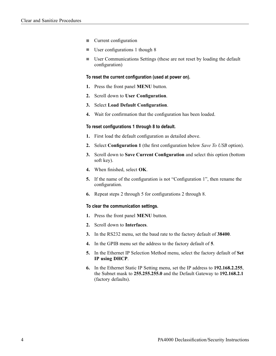- п Current configuration
- L. User configurations 1 though 8
- ш User Communications Settings (these are not reset by loading the default configuration)

#### **To reset the current configuration (used at power on).**

- **1.** Press the front panel **MENU** button.
- **2.** Scroll down to **User Configuration**.
- **3.** Select **Load Default Configuration**.
- **4.** Wait for confirmation that the configuration has been loaded.

#### **To reset configurations 1 through 8 to default.**

- **1.** First load the default configuration as detailed above.
- **2.** Select **Configuration 1** (the first configuration below *Save To USB* option).
- **3.** Scroll down to **Save Current Configuration** and select this option (bottom soft key).
- **4.** When finished, select **OK**.
- **5.** If the name of the configuration is not "Configuration 1", then rename the configuration.
- **6.** Repeat steps 2 through 5 for configurations 2 through 8.

#### **To clear the communication settings.**

- **1.** Press the front panel **MENU** button.
- **2.** Scroll down to **Interfaces**.
- **3.** In the RS232 menu, set the baud rate to the factory default of **38400**.
- **4.** In the GPIB menu set the address to the factory default of **5**.
- **5.** In the Ethernet IP Selection Method menu, select the factory default of **Set IP using DHCP**.
- **6.** In the Ethernet Static IP Setting menu, set the IP address to **192.168.2.255**, the Subnet mask to **255.255.255.0** and the Default Gateway to **192.168.2.1** (factory defaults).